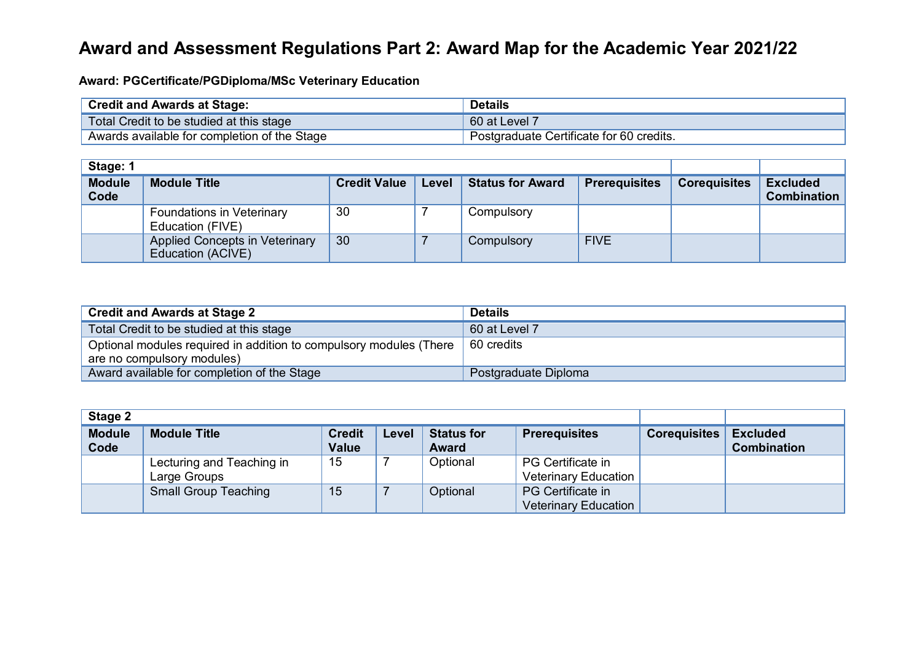## **Award and Assessment Regulations Part 2: Award Map for the Academic Year 2021/22**

**Award: PGCertificate/PGDiploma/MSc Veterinary Education**

| <b>Credit and Awards at Stage:</b>           | <b>Details</b>                           |
|----------------------------------------------|------------------------------------------|
| Total Credit to be studied at this stage     | 60 at Level 7                            |
| Awards available for completion of the Stage | Postgraduate Certificate for 60 credits. |

| Stage: 1              |                                                      |                     |       |                         |                      |                     |                                       |
|-----------------------|------------------------------------------------------|---------------------|-------|-------------------------|----------------------|---------------------|---------------------------------------|
| <b>Module</b><br>Code | <b>Module Title</b>                                  | <b>Credit Value</b> | Level | <b>Status for Award</b> | <b>Prerequisites</b> | <b>Corequisites</b> | <b>Excluded</b><br><b>Combination</b> |
|                       | <b>Foundations in Veterinary</b><br>Education (FIVE) | 30                  |       | Compulsory              |                      |                     |                                       |
|                       | Applied Concepts in Veterinary<br>Education (ACIVE)  | 30                  |       | Compulsory              | <b>FIVE</b>          |                     |                                       |

| Credit and Awards at Stage 2                                       | <b>Details</b>       |
|--------------------------------------------------------------------|----------------------|
| Total Credit to be studied at this stage                           | 60 at Level 7        |
| Optional modules required in addition to compulsory modules (There | 60 credits           |
| are no compulsory modules)                                         |                      |
| Award available for completion of the Stage                        | Postgraduate Diploma |

| Stage 2               |                                           |                        |       |                                   |                                                  |              |                                       |
|-----------------------|-------------------------------------------|------------------------|-------|-----------------------------------|--------------------------------------------------|--------------|---------------------------------------|
| <b>Module</b><br>Code | <b>Module Title</b>                       | <b>Credit</b><br>Value | Level | <b>Status for</b><br><b>Award</b> | <b>Prerequisites</b>                             | Corequisites | <b>Excluded</b><br><b>Combination</b> |
|                       | Lecturing and Teaching in<br>Large Groups | 15                     |       | Optional                          | PG Certificate in<br><b>Veterinary Education</b> |              |                                       |
|                       | <b>Small Group Teaching</b>               | 15                     |       | Optional                          | PG Certificate in<br><b>Veterinary Education</b> |              |                                       |